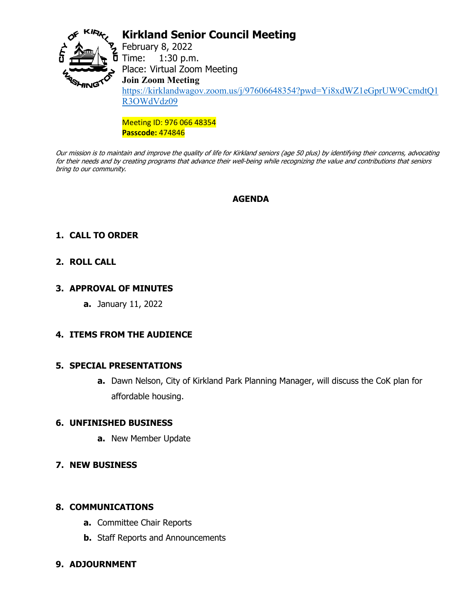

# **Kirkland Senior Council Meeting**

February 8, 2022  $\frac{5}{1}$  Time: 1:30 p.m. Place: Virtual Zoom Meeting **Join Zoom Meeting** [https://kirklandwagov.zoom.us/j/97606648354?pwd=Yi8xdWZ1eGprUW9CcmdtQ1](https://kirklandwagov.zoom.us/j/97606648354?pwd=Yi8xdWZ1eGprUW9CcmdtQ1R3OWdVdz09) [R3OWdVdz09](https://kirklandwagov.zoom.us/j/97606648354?pwd=Yi8xdWZ1eGprUW9CcmdtQ1R3OWdVdz09)

Meeting ID: 976 066 48354 **Passcode:** 474846

Our mission is to maintain and improve the quality of life for Kirkland seniors (age 50 plus) by identifying their concerns, advocating for their needs and by creating programs that advance their well-being while recognizing the value and contributions that seniors bring to our community.

### **AGENDA**

# **1. CALL TO ORDER**

## **2. ROLL CALL**

### **3. APPROVAL OF MINUTES**

**a.** January 11, 2022

## **4. ITEMS FROM THE AUDIENCE**

#### **5. SPECIAL PRESENTATIONS**

**a.** Dawn Nelson, City of Kirkland Park Planning Manager, will discuss the CoK plan for affordable housing.

#### **6. UNFINISHED BUSINESS**

- **a.** New Member Update
- **7. NEW BUSINESS**

#### **8. COMMUNICATIONS**

- **a.** Committee Chair Reports
- **b.** Staff Reports and Announcements

## **9. ADJOURNMENT**